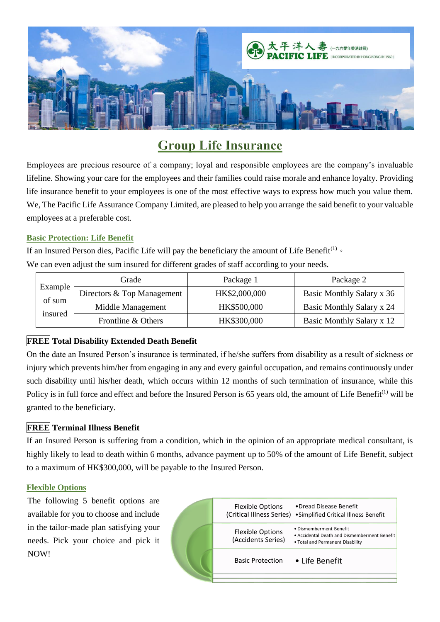

# **Group Life Insurance**

Employees are precious resource of a company; loyal and responsible employees are the company's invaluable lifeline. Showing your care for the employees and their families could raise morale and enhance loyalty. Providing life insurance benefit to your employees is one of the most effective ways to express how much you value them. We, The Pacific Life Assurance Company Limited, are pleased to help you arrange the said benefit to your valuable employees at a preferable cost.

## **Basic Protection: Life Benefit**

If an Insured Person dies, Pacific Life will pay the beneficiary the amount of Life Benefit<sup>(1)</sup> or

We can even adjust the sum insured for different grades of staff according to your needs.

| Example<br>of sum<br>insured | Grade                      | Package 1     | Package 2                 |
|------------------------------|----------------------------|---------------|---------------------------|
|                              | Directors & Top Management | HK\$2,000,000 | Basic Monthly Salary x 36 |
|                              | Middle Management          | HK\$500,000   | Basic Monthly Salary x 24 |
|                              | Frontline & Others         | HK\$300,000   | Basic Monthly Salary x 12 |

# **FREE Total Disability Extended Death Benefit**

On the date an Insured Person's insurance is terminated, if he/she suffers from disability as a result of sickness or injury which prevents him/her from engaging in any and every gainful occupation, and remains continuously under such disability until his/her death, which occurs within 12 months of such termination of insurance, while this Policy is in full force and effect and before the Insured Person is 65 years old, the amount of Life Benefit<sup>(1)</sup> will be granted to the beneficiary.

# **FREE Terminal Illness Benefit**

If an Insured Person is suffering from a condition, which in the opinion of an appropriate medical consultant, is highly likely to lead to death within 6 months, advance payment up to 50% of the amount of Life Benefit, subject to a maximum of HK\$300,000, will be payable to the Insured Person.

### **Flexible Options**

The following 5 benefit options are available for you to choose and include in the tailor-made plan satisfying your needs. Pick your choice and pick it NOW!

| <b>Flexible Options</b><br>(Critical Illness Series) | •Dread Disease Benefit<br>• Simplified Critical Illness Benefit                                             |
|------------------------------------------------------|-------------------------------------------------------------------------------------------------------------|
| <b>Flexible Options</b><br>(Accidents Series)        | · Dismemberment Benefit<br>. Accidental Death and Dismemberment Benefit<br>. Total and Permanent Disability |
| <b>Basic Protection</b>                              | • Life Benefit                                                                                              |
|                                                      |                                                                                                             |